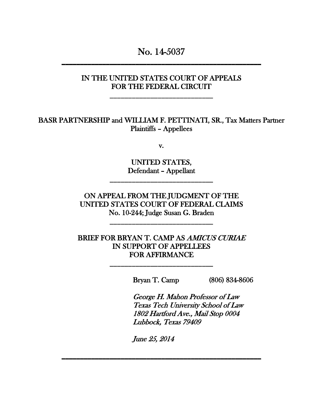No. 14-5037

### IN THE UNITED STATES COURT OF APPEALS FOR THE FEDERAL CIRCUIT

\_\_\_\_\_\_\_\_\_\_\_\_\_\_\_\_\_\_\_\_\_\_\_\_\_\_\_\_

BASR PARTNERSHIP and WILLIAM F. PETTINATI, SR., Tax Matters Partner Plaintiffs – Appellees

v.

UNITED STATES, Defendant – Appellant

\_\_\_\_\_\_\_\_\_\_\_\_\_\_\_\_\_\_\_\_\_\_\_\_\_\_\_\_

ON APPEAL FROM THE JUDGMENT OF THE UNITED STATES COURT OF FEDERAL CLAIMS No. 10-244; Judge Susan G. Braden

\_\_\_\_\_\_\_\_\_\_\_\_\_\_\_\_\_\_\_\_\_\_\_\_\_\_\_\_

BRIEF FOR BRYAN T. CAMP AS AMICUS CURIAE IN SUPPORT OF APPELLEES FOR AFFIRMANCE

\_\_\_\_\_\_\_\_\_\_\_\_\_\_\_\_\_\_\_\_\_\_\_\_\_\_\_\_

Bryan T. Camp (806) 834-8606

George H. Mahon Professor of Law Texas Tech University School of Law 1802 Hartford Ave., Mail Stop 0004 Lubbock, Texas 79409

June 25, 2014

\_\_\_\_\_\_\_\_\_\_\_\_\_\_\_\_\_\_\_\_\_\_\_\_\_\_\_\_\_\_\_\_\_\_\_\_\_\_\_\_\_\_\_\_\_\_\_\_\_\_\_\_\_\_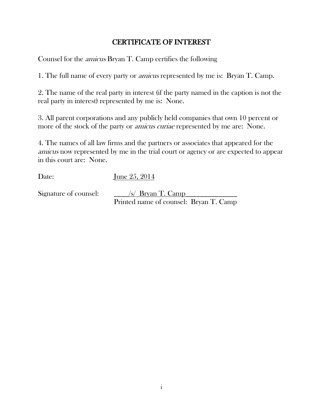# CERTIFICATE OF INTEREST

Counsel for the amicus Bryan T. Camp certifies the following

1. The full name of every party or amicus represented by me is: Bryan T. Camp.

2. The name of the real party in interest (if the party named in the caption is not the real party in interest) represented by me is: None.

3. All parent corporations and any publicly held companies that own 10 percent or more of the stock of the party or *amicus curiae* represented by me are: None.

4. The names of all law firms and the partners or associates that appeared for the amicus now represented by me in the trial court or agency or are expected to appear in this court are: None.

Date: June 25, 2014

Signature of counsel:  $\frac{S}{\sqrt{S}}$  Bryan T. Camp Printed name of counsel: Bryan T. Camp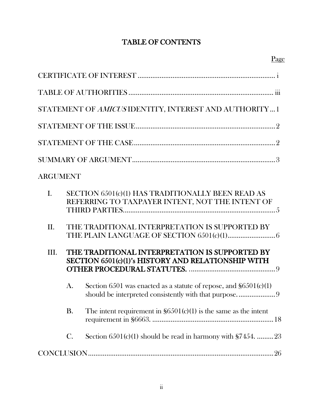# TABLE OF CONTENTS

|                 |                 | STATEMENT OF AMICUSIDENTITY, INTEREST AND AUTHORITY 1                                                |
|-----------------|-----------------|------------------------------------------------------------------------------------------------------|
|                 |                 |                                                                                                      |
|                 |                 |                                                                                                      |
|                 |                 |                                                                                                      |
| <b>ARGUMENT</b> |                 |                                                                                                      |
| $\mathbf{I}$ .  |                 | SECTION 6501(c)(1) HAS TRADITIONALLY BEEN READ AS<br>REFERRING TO TAXPAYER INTENT, NOT THE INTENT OF |
| II.             |                 | THE TRADITIONAL INTERPRETATION IS SUPPORTED BY                                                       |
| III.            |                 | THE TRADITIONAL INTERPRETATION IS SUPPORTED BY<br>SECTION 6501(c)(1)'s HISTORY AND RELATIONSHIP WITH |
|                 | A.              | Section 6501 was enacted as a statute of repose, and $\S6501(c)(1)$                                  |
|                 | <b>B.</b>       | The intent requirement in $\S6501(c)(1)$ is the same as the intent                                   |
|                 | $\mathcal{C}$ . | Section $6501(c)(1)$ should be read in harmony with $$7454$ . 23                                     |
|                 |                 |                                                                                                      |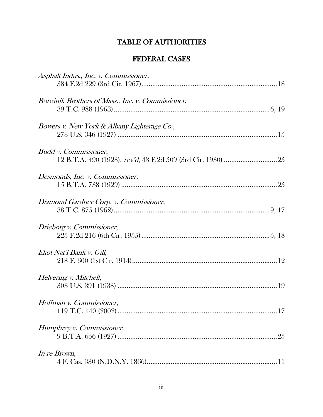# TABLE OF AUTHORITIES

# FEDERAL CASES

| Asphalt Indus., Inc. v. Commissioner,             |
|---------------------------------------------------|
| Botwinik Brothers of Mass., Inc. v. Commissioner, |
| Bowers v. New York & Albany Lighterage Co.,       |
| <b>Budd v. Commissioner,</b>                      |
| Desmonds, Inc. v. Commissioner,                   |
| Diamond Gardner Corp. v. Commissioner,            |
| Drieborg v. Commissioner,                         |
| Eliot Nat'l Bank v. Gill,                         |
| Helvering v. Mitchell,                            |
| Hoffman v. Commissioner,                          |
| Humphrey v. Commissioner,                         |
| In re Brown,                                      |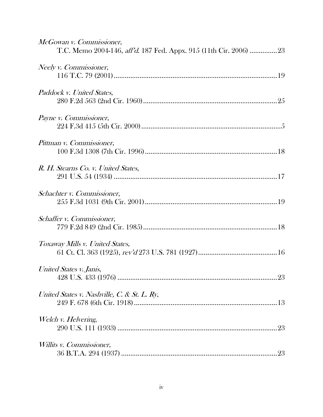| McGowan v. Commissioner,<br>T.C. Memo 2004-146, aff'd. 187 Fed. Appx. 915 (11th Cir. 2006) 23 |
|-----------------------------------------------------------------------------------------------|
| Neely v. Commissioner,                                                                        |
| Paddock v. United States,                                                                     |
| Payne v. Commissioner,                                                                        |
| Pittman v. Commissioner,                                                                      |
| R. H. Stearns Co. v. United States,                                                           |
| Schachter v. Commissioner,                                                                    |
| Schaffer v. Commissioner,                                                                     |
| Toxaway Mills v. United States,                                                               |
| United States v. Janis,                                                                       |
| United States v. Nashville, C. & St. L. Ry,                                                   |
| Welch v. Helvering,                                                                           |
| <i>Willits v. Commissioner,</i>                                                               |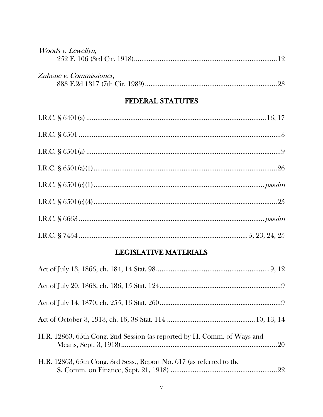| <i>Woods v. Lewellyn,</i> |  |
|---------------------------|--|
|                           |  |
|                           |  |
| Zuhone v. Commissioner,   |  |
|                           |  |

# FEDERAL STATUTES

## LEGISLATIVE MATERIALS

| H.R. 12863, 65th Cong. 2nd Session (as reported by H. Comm. of Ways and |  |
|-------------------------------------------------------------------------|--|
| H.R. 12863, 65th Cong. 3rd Sess., Report No. 617 (as referred to the    |  |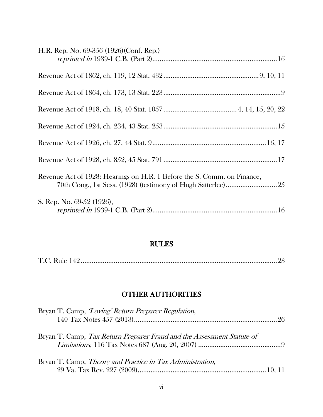| H.R. Rep. No. 69-356 (1926)(Conf. Rep.)                                 |  |
|-------------------------------------------------------------------------|--|
|                                                                         |  |
|                                                                         |  |
|                                                                         |  |
|                                                                         |  |
|                                                                         |  |
|                                                                         |  |
| Revenue Act of 1928: Hearings on H.R. 1 Before the S. Comm. on Finance, |  |
| S. Rep. No. 69-52 (1926),                                               |  |

## RULES

|--|--|--|--|--|

# OTHER AUTHORITIES

| Bryan T. Camp, <i>Loving' Return Preparer Regulation</i> ,             |  |
|------------------------------------------------------------------------|--|
| Bryan T. Camp, Tax Return Preparer Fraud and the Assessment Statute of |  |
| Bryan T. Camp, <i>Theory and Practice in Tax Administration</i> ,      |  |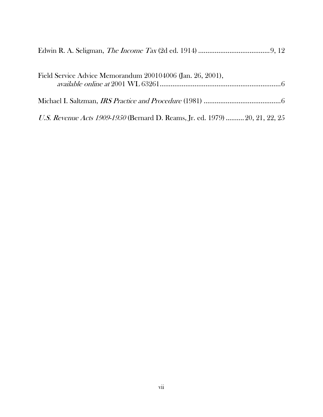| Field Service Advice Memorandum 200104006 (Jan. 26, 2001),                   |
|------------------------------------------------------------------------------|
|                                                                              |
| U.S. Revenue Acts 1909-1950 (Bernard D. Reams, Jr. ed. 1979)  20, 21, 22, 25 |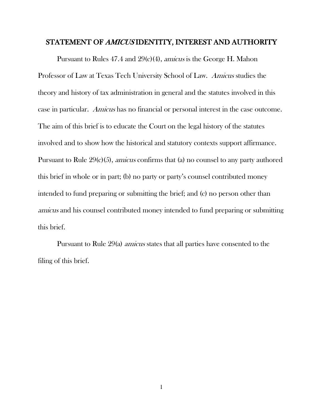#### STATEMENT OF AMICUS IDENTITY, INTEREST AND AUTHORITY

Pursuant to Rules 47.4 and 29(c)(4), amicus is the George H. Mahon Professor of Law at Texas Tech University School of Law. Amicus studies the theory and history of tax administration in general and the statutes involved in this case in particular. Amicus has no financial or personal interest in the case outcome. The aim of this brief is to educate the Court on the legal history of the statutes involved and to show how the historical and statutory contexts support affirmance. Pursuant to Rule 29(c)(5), amicus confirms that (a) no counsel to any party authored this brief in whole or in part; (b) no party or party's counsel contributed money intended to fund preparing or submitting the brief; and (c) no person other than amicus and his counsel contributed money intended to fund preparing or submitting this brief.

Pursuant to Rule 29(a) amicus states that all parties have consented to the filing of this brief.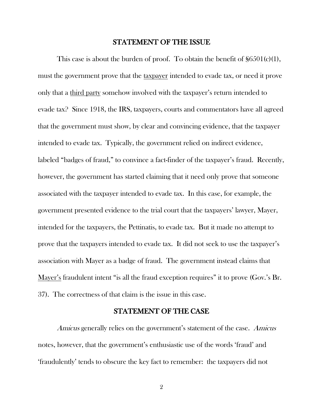#### STATEMENT OF THE ISSUE

This case is about the burden of proof. To obtain the benefit of  $\S6501(c)(1)$ , must the government prove that the taxpayer intended to evade tax, or need it prove only that a third party somehow involved with the taxpayer's return intended to evade tax? Since 1918, the IRS, taxpayers, courts and commentators have all agreed that the government must show, by clear and convincing evidence, that the taxpayer intended to evade tax. Typically, the government relied on indirect evidence, labeled "badges of fraud," to convince a fact-finder of the taxpayer's fraud. Recently, however, the government has started claiming that it need only prove that someone associated with the taxpayer intended to evade tax. In this case, for example, the government presented evidence to the trial court that the taxpayers' lawyer, Mayer, intended for the taxpayers, the Pettinatis, to evade tax. But it made no attempt to prove that the taxpayers intended to evade tax. It did not seek to use the taxpayer's association with Mayer as a badge of fraud. The government instead claims that Mayer's fraudulent intent "is all the fraud exception requires" it to prove (Gov.'s Br. 37). The correctness of that claim is the issue in this case.

#### STATEMENT OF THE CASE

Amicus generally relies on the government's statement of the case. Amicus notes, however, that the government's enthusiastic use of the words 'fraud' and 'fraudulently' tends to obscure the key fact to remember: the taxpayers did not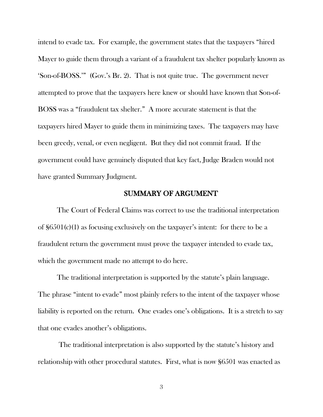intend to evade tax. For example, the government states that the taxpayers "hired Mayer to guide them through a variant of a fraudulent tax shelter popularly known as 'Son-of-BOSS.'" (Gov.'s Br. 2). That is not quite true. The government never attempted to prove that the taxpayers here knew or should have known that Son-of-BOSS was a "fraudulent tax shelter." A more accurate statement is that the taxpayers hired Mayer to guide them in minimizing taxes. The taxpayers may have been greedy, venal, or even negligent. But they did not commit fraud. If the government could have genuinely disputed that key fact, Judge Braden would not have granted Summary Judgment.

#### SUMMARY OF ARGUMENT

The Court of Federal Claims was correct to use the traditional interpretation of §6501(c)(1) as focusing exclusively on the taxpayer's intent: for there to be a fraudulent return the government must prove the taxpayer intended to evade tax, which the government made no attempt to do here.

The traditional interpretation is supported by the statute's plain language. The phrase "intent to evade" most plainly refers to the intent of the taxpayer whose liability is reported on the return. One evades one's obligations. It is a stretch to say that one evades another's obligations.

The traditional interpretation is also supported by the statute's history and relationship with other procedural statutes. First, what is now §6501 was enacted as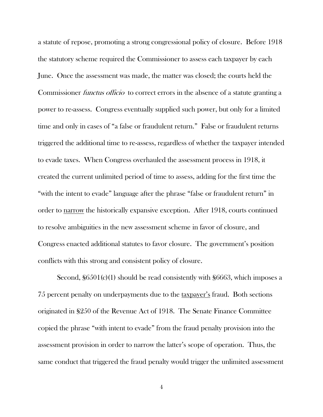a statute of repose, promoting a strong congressional policy of closure. Before 1918 the statutory scheme required the Commissioner to assess each taxpayer by each June. Once the assessment was made, the matter was closed; the courts held the Commissioner *functus officio* to correct errors in the absence of a statute granting a power to re-assess. Congress eventually supplied such power, but only for a limited time and only in cases of "a false or fraudulent return." False or fraudulent returns triggered the additional time to re-assess, regardless of whether the taxpayer intended to evade taxes. When Congress overhauled the assessment process in 1918, it created the current unlimited period of time to assess, adding for the first time the "with the intent to evade" language after the phrase "false or fraudulent return" in order to narrow the historically expansive exception. After 1918, courts continued to resolve ambiguities in the new assessment scheme in favor of closure, and Congress enacted additional statutes to favor closure. The government's position conflicts with this strong and consistent policy of closure.

Second, §6501(c)(1) should be read consistently with §6663, which imposes a 75 percent penalty on underpayments due to the taxpayer's fraud. Both sections originated in §250 of the Revenue Act of 1918. The Senate Finance Committee copied the phrase "with intent to evade" from the fraud penalty provision into the assessment provision in order to narrow the latter's scope of operation. Thus, the same conduct that triggered the fraud penalty would trigger the unlimited assessment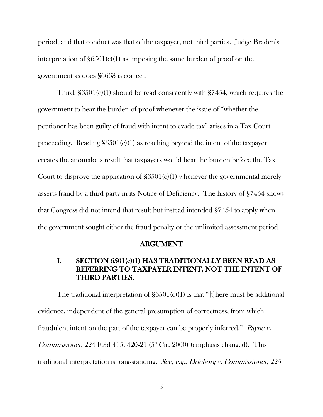period, and that conduct was that of the taxpayer, not third parties. Judge Braden's interpretation of  $\S6501(c)(1)$  as imposing the same burden of proof on the government as does §6663 is correct.

Third, §6501(c)(1) should be read consistently with §7454, which requires the government to bear the burden of proof whenever the issue of "whether the petitioner has been guilty of fraud with intent to evade tax" arises in a Tax Court proceeding. Reading  $$6501(c)(1)$  as reaching beyond the intent of the taxpayer creates the anomalous result that taxpayers would bear the burden before the Tax Court to disprove the application of  $\S6501(c)(1)$  whenever the governmental merely asserts fraud by a third party in its Notice of Deficiency. The history of §7454 shows that Congress did not intend that result but instead intended §7454 to apply when the government sought either the fraud penalty or the unlimited assessment period.

#### ARGUMENT

### I. SECTION 6501(c)(1) HAS TRADITIONALLY BEEN READ AS REFERRING TO TAXPAYER INTENT, NOT THE INTENT OF THIRD PARTIES.

The traditional interpretation of  $\S6501(c)(1)$  is that "[t]here must be additional evidence, independent of the general presumption of correctness, from which fraudulent intent on the part of the taxpayer can be properly inferred." Payne v. *Commissioner*, 224 F.3d 415, 420-21 ( $5<sup>th</sup>$  Cir. 2000) (emphasis changed). This traditional interpretation is long-standing. See, e.g., Drieborg v. Commissioner, 225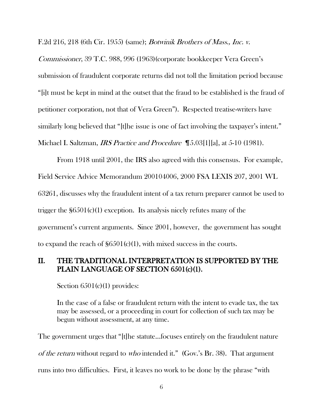F.2d 216, 218 (6th Cir. 1955) (same); Botwinik Brothers of Mass., Inc. v.

Commissioner, 39 T.C. 988, 996 (1963)(corporate bookkeeper Vera Green's submission of fraudulent corporate returns did not toll the limitation period because "[i]t must be kept in mind at the outset that the fraud to be established is the fraud of petitioner corporation, not that of Vera Green"). Respected treatise-writers have similarly long believed that "[t]he issue is one of fact involving the taxpayer's intent." Michael I. Saltzman, *IRS Practice and Procedure* [5.03[1][a], at 5-10 (1981).

From 1918 until 2001, the IRS also agreed with this consensus. For example, Field Service Advice Memorandum 200104006, 2000 FSA LEXIS 207, 2001 WL 63261, discusses why the fraudulent intent of a tax return preparer cannot be used to trigger the  $$6501(c)(1)$  exception. Its analysis nicely refutes many of the government's current arguments. Since 2001, however, the government has sought to expand the reach of  $\S6501(c)(1)$ , with mixed success in the courts.

### II. THE TRADITIONAL INTERPRETATION IS SUPPORTED BY THE PLAIN LANGUAGE OF SECTION 6501(c)(1).

Section  $6501(c)(1)$  provides:

In the case of a false or fraudulent return with the intent to evade tax, the tax may be assessed, or a proceeding in court for collection of such tax may be begun without assessment, at any time.

The government urges that "[t]he statute...focuses entirely on the fraudulent nature of the return without regard to who intended it." (Gov.'s Br. 38). That argument runs into two difficulties. First, it leaves no work to be done by the phrase "with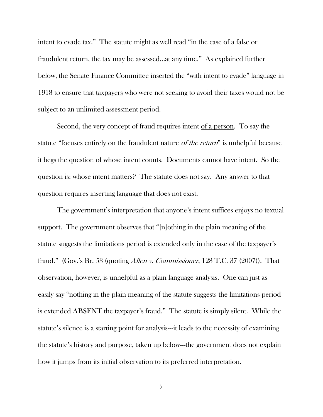intent to evade tax." The statute might as well read "in the case of a false or fraudulent return, the tax may be assessed...at any time." As explained further below, the Senate Finance Committee inserted the "with intent to evade" language in 1918 to ensure that taxpayers who were not seeking to avoid their taxes would not be subject to an unlimited assessment period.

Second, the very concept of fraud requires intent of a person. To say the statute "focuses entirely on the fraudulent nature *of the return*" is unhelpful because it begs the question of whose intent counts. Documents cannot have intent. So the question is: whose intent matters? The statute does not say. Any answer to that question requires inserting language that does not exist.

The government's interpretation that anyone's intent suffices enjoys no textual support. The government observes that "[n]othing in the plain meaning of the statute suggests the limitations period is extended only in the case of the taxpayer's fraud." (Gov.'s Br. 53 (quoting Allen v. Commissioner, 128 T.C. 37 (2007)). That observation, however, is unhelpful as a plain language analysis. One can just as easily say "nothing in the plain meaning of the statute suggests the limitations period is extended ABSENT the taxpayer's fraud." The statute is simply silent. While the statute's silence is a starting point for analysis---it leads to the necessity of examining the statute's history and purpose, taken up below---the government does not explain how it jumps from its initial observation to its preferred interpretation.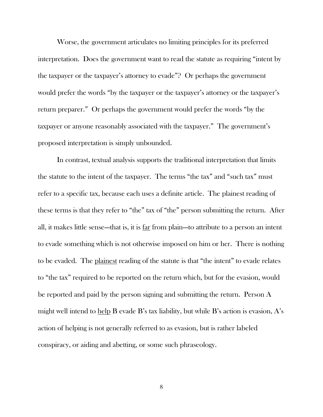Worse, the government articulates no limiting principles for its preferred interpretation. Does the government want to read the statute as requiring "intent by the taxpayer or the taxpayer's attorney to evade"? Or perhaps the government would prefer the words "by the taxpayer or the taxpayer's attorney or the taxpayer's return preparer." Or perhaps the government would prefer the words "by the taxpayer or anyone reasonably associated with the taxpayer." The government's proposed interpretation is simply unbounded.

In contrast, textual analysis supports the traditional interpretation that limits the statute to the intent of the taxpayer. The terms "the tax" and "such tax" must refer to a specific tax, because each uses a definite article. The plainest reading of these terms is that they refer to "the" tax of "the" person submitting the return. After all, it makes little sense---that is, it is far from plain---to attribute to a person an intent to evade something which is not otherwise imposed on him or her. There is nothing to be evaded. The plainest reading of the statute is that "the intent" to evade relates to "the tax" required to be reported on the return which, but for the evasion, would be reported and paid by the person signing and submitting the return. Person A might well intend to help B evade B's tax liability, but while B's action is evasion, A's action of helping is not generally referred to as evasion, but is rather labeled conspiracy, or aiding and abetting, or some such phraseology.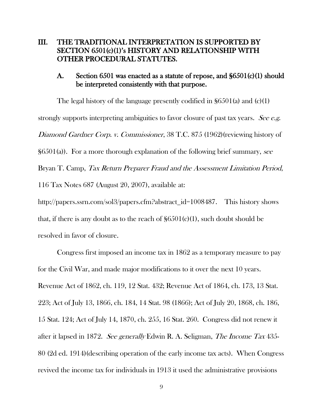### III. THE TRADITIONAL INTERPRETATION IS SUPPORTED BY SECTION 6501(c)(1)'s HISTORY AND RELATIONSHIP WITH OTHER PROCEDURAL STATUTES.

### A. Section 6501 was enacted as a statute of repose, and §6501(c)(1) should be interpreted consistently with that purpose.

The legal history of the language presently codified in §6501(a) and (c)(1) strongly supports interpreting ambiguities to favor closure of past tax years. See e.g. Diamond Gardner Corp. v. Commissioner, 38 T.C. 875 (1962)(reviewing history of  $\S6501(a)$ ). For a more thorough explanation of the following brief summary, see Bryan T. Camp, Tax Return Preparer Fraud and the Assessment Limitation Period, 116 Tax Notes 687 (August 20, 2007), available at: http://papers.ssrn.com/sol3/papers.cfm?abstract\_id=1008487. This history shows that, if there is any doubt as to the reach of  $\S6501(c)(1)$ , such doubt should be resolved in favor of closure.

Congress first imposed an income tax in 1862 as a temporary measure to pay for the Civil War, and made major modifications to it over the next 10 years. Revenue Act of 1862, ch. 119, 12 Stat. 432; Revenue Act of 1864, ch. 173, 13 Stat. 223; Act of July 13, 1866, ch. 184, 14 Stat. 98 (1866); Act of July 20, 1868, ch. 186, 15 Stat. 124; Act of July 14, 1870, ch. 255, 16 Stat. 260. Congress did not renew it after it lapsed in 1872. See generally Edwin R. A. Seligman, The Income Tax 435- 80 (2d ed. 1914)(describing operation of the early income tax acts). When Congress revived the income tax for individuals in 1913 it used the administrative provisions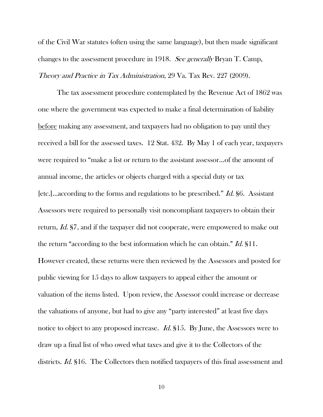of the Civil War statutes (often using the same language), but then made significant changes to the assessment procedure in 1918. See generally Bryan T. Camp, Theory and Practice in Tax Administration, 29 Va. Tax Rev. 227 (2009).

The tax assessment procedure contemplated by the Revenue Act of 1862 was one where the government was expected to make a final determination of liability before making any assessment, and taxpayers had no obligation to pay until they received a bill for the assessed taxes. 12 Stat. 432. By May 1 of each year, taxpayers were required to "make a list or return to the assistant assessor...of the amount of annual income, the articles or objects charged with a special duty or tax [etc.]...according to the forms and regulations to be prescribed." Id. §6. Assistant Assessors were required to personally visit noncompliant taxpayers to obtain their return, *Id.* §7, and if the taxpayer did not cooperate, were empowered to make out the return "according to the best information which he can obtain." Id.  $\S11$ . However created, these returns were then reviewed by the Assessors and posted for public viewing for 15 days to allow taxpayers to appeal either the amount or valuation of the items listed. Upon review, the Assessor could increase or decrease the valuations of anyone, but had to give any "party interested" at least five days notice to object to any proposed increase. *Id.* §15. By June, the Assessors were to draw up a final list of who owed what taxes and give it to the Collectors of the districts. *Id.* §16. The Collectors then notified taxpayers of this final assessment and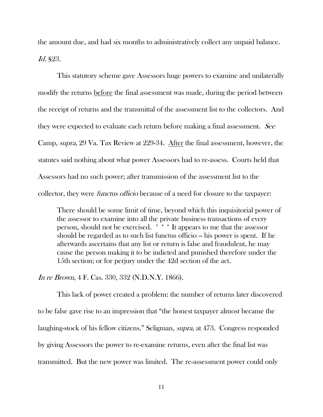the amount due, and had six months to administratively collect any unpaid balance. Id. §23.

This statutory scheme gave Assessors huge powers to examine and unilaterally modify the returns before the final assessment was made, during the period between the receipt of returns and the transmittal of the assessment list to the collectors. And they were expected to evaluate each return before making a final assessment. See Camp, supra, 29 Va. Tax Review at 229-34. After the final assessment, however, the statutes said nothing about what power Assessors had to re-assess. Courts held that Assessors had no such power; after transmission of the assessment list to the collector, they were *functus officio* because of a need for closure to the taxpayer:

There should be some limit of time, beyond which this inquisitorial power of the assessor to examine into all the private business transactions of every person, should not be exercised. \* \* \* It appears to me that the assessor should be regarded as to such list functus officio – his power is spent. If he afterwards ascertains that any list or return is false and fraudulent, he may cause the person making it to be indicted and punished therefore under the 15th section; or for perjury under the 42d section of the act.

In re Brown, 4 F. Cas. 330, 332 (N.D.N.Y. 1866).

This lack of power created a problem: the number of returns later discovered to be false gave rise to an impression that "the honest taxpayer almost became the laughing-stock of his fellow citizens." Seligman, supra, at 473. Congress responded by giving Assessors the power to re-examine returns, even after the final list was transmitted. But the new power was limited. The re-assessment power could only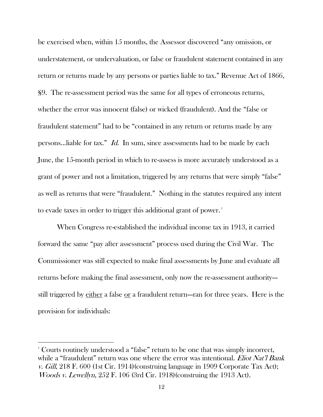be exercised when, within 15 months, the Assessor discovered "any omission, or understatement, or undervaluation, or false or fraudulent statement contained in any return or returns made by any persons or parties liable to tax." Revenue Act of 1866, §9. The re-assessment period was the same for all types of erroneous returns, whether the error was innocent (false) or wicked (fraudulent). And the "false or fraudulent statement" had to be "contained in any return or returns made by any persons...liable for tax." Id. In sum, since assessments had to be made by each June, the 15-month period in which to re-assess is more accurately understood as a grant of power and not a limitation, triggered by any returns that were simply "false" as well as returns that were "fraudulent." Nothing in the statutes required any intent to evade taxes in order to trigger this additional grant of power.<sup>1</sup>

When Congress re-established the individual income tax in 1913, it carried forward the same "pay after assessment" process used during the Civil War. The Commissioner was still expected to make final assessments by June and evaluate all returns before making the final assessment, only now the re-assessment authority-- still triggered by either a false or a fraudulent return---ran for three years. Here is the provision for individuals:

 $\overline{a}$ 

<sup>&</sup>lt;sup>1</sup> Courts routinely understood a "false" return to be one that was simply incorrect, while a "fraudulent" return was one where the error was intentional. *Eliot Nat'l Bank* v. Gill,  $218$  F. 600 (1st Cir. 1914)(construing language in 1909 Corporate Tax Act); Woods v. Lewellyn, 252 F. 106 (3rd Cir. 1918)(construing the 1913 Act).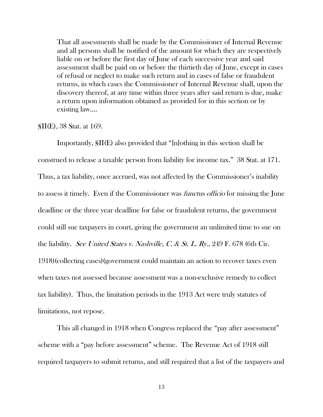That all assessments shall be made by the Commissioner of Internal Revenue and all persons shall be notified of the amount for which they are respectively liable on or before the first day of June of each successive year and said assessment shall be paid on or before the thirtieth day of June, except in cases of refusal or neglect to make such return and in cases of false or fraudulent returns, in which cases the Commissioner of Internal Revenue shall, upon the discovery thereof, at any time within three years after said return is due, make a return upon information obtained as provided for in this section or by existing law....

§II(E), 38 Stat. at 169.

Importantly, §II(E) also provided that "[n]othing in this section shall be construed to release a taxable person from liability for income tax." 38 Stat. at 171. Thus, a tax liability, once accrued, was not affected by the Commissioner's inability to assess it timely. Even if the Commissioner was *functus officio* for missing the June deadline or the three year deadline for false or fraudulent returns, the government could still sue taxpayers in court, giving the government an unlimited time to sue on the liability. See United States v. Nashville, C. & St. L. Ry., 249 F. 678 (6th Cir. 1918)(collecting cases)(government could maintain an action to recover taxes even when taxes not assessed because assessment was a non-exclusive remedy to collect tax liability). Thus, the limitation periods in the 1913 Act were truly statutes of limitations, not repose.

This all changed in 1918 when Congress replaced the "pay after assessment" scheme with a "pay before assessment" scheme. The Revenue Act of 1918 still required taxpayers to submit returns, and still required that a list of the taxpayers and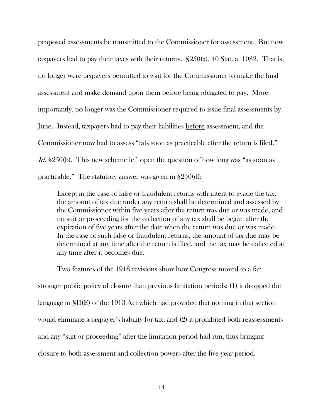proposed assessments be transmitted to the Commissioner for assessment. But now taxpayers had to pay their taxes with their returns. §250(a), 40 Stat. at 1082. That is, no longer were taxpayers permitted to wait for the Commissioner to make the final assessment and make demand upon them before being obligated to pay. More importantly, no longer was the Commissioner required to issue final assessments by June. Instead, taxpayers had to pay their liabilities before assessment, and the Commissioner now had to assess "[a]s soon as practicable after the return is filed." Id. §250(b). This new scheme left open the question of how long was "as soon as practicable." The statutory answer was given in §250(d):

Except in the case of false or fraudulent returns with intent to evade the tax, the amount of tax due under any return shall be determined and assessed by the Commissioner within five years after the return was due or was made, and no suit or proceeding for the collection of any tax shall be begun after the expiration of five years after the date when the return was due or was made. In the case of such false or fraudulent returns, the amount of tax due may be determined at any time after the return is filed, and the tax may be collected at any time after it becomes due.

Two features of the 1918 revisions show how Congress moved to a far stronger public policy of closure than previous limitation periods: (1) it dropped the language in §II(E) of the 1913 Act which had provided that nothing in that section would eliminate a taxpayer's liability for tax; and (2) it prohibited both reassessments and any "suit or proceeding" after the limitation period had run, thus bringing closure to both assessment and collection powers after the five-year period.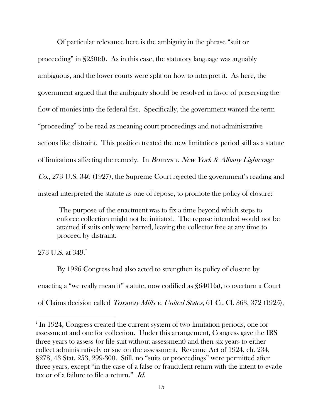Of particular relevance here is the ambiguity in the phrase "suit or proceeding" in §250(d). As in this case, the statutory language was arguably ambiguous, and the lower courts were split on how to interpret it. As here, the government argued that the ambiguity should be resolved in favor of preserving the flow of monies into the federal fisc. Specifically, the government wanted the term "proceeding" to be read as meaning court proceedings and not administrative actions like distraint. This position treated the new limitations period still as a statute of limitations affecting the remedy. In Bowers v. New York & Albany Lighterage Co., 273 U.S. 346 (1927), the Supreme Court rejected the government's reading and instead interpreted the statute as one of repose, to promote the policy of closure:

The purpose of the enactment was to fix a time beyond which steps to enforce collection might not be initiated. The repose intended would not be attained if suits only were barred, leaving the collector free at any time to proceed by distraint.

273 U.S. at  $349.2$ 

 $\overline{a}$ 

By 1926 Congress had also acted to strengthen its policy of closure by enacting a "we really mean it" statute, now codified as §6401(a), to overturn a Court of Claims decision called Toxaway Mills v. United States, 61 Ct. Cl. 363, 372 (1925),

<sup>&</sup>lt;sup>2</sup> In 1924, Congress created the current system of two limitation periods, one for assessment and one for collection. Under this arrangement, Congress gave the IRS three years to assess (or file suit without assessment) and then six years to either collect administratively or sue on the assessment. Revenue Act of 1924, ch. 234, §278, 43 Stat. 253, 299-300. Still, no "suits or proceedings" were permitted after three years, except "in the case of a false or fraudulent return with the intent to evade tax or of a failure to file a return."  $Id.$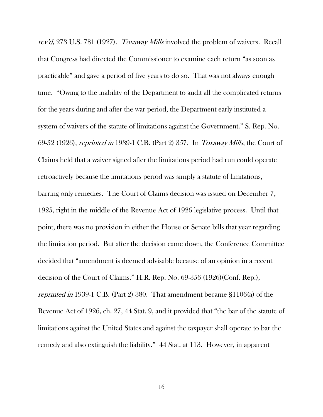rev'd, 273 U.S. 781 (1927). Toxaway Mills involved the problem of waivers. Recall that Congress had directed the Commissioner to examine each return "as soon as practicable" and gave a period of five years to do so. That was not always enough time. "Owing to the inability of the Department to audit all the complicated returns for the years during and after the war period, the Department early instituted a system of waivers of the statute of limitations against the Government." S. Rep. No. 69-52 (1926), reprinted in 1939-1 C.B. (Part 2) 357. In Toxaway Mills, the Court of Claims held that a waiver signed after the limitations period had run could operate retroactively because the limitations period was simply a statute of limitations, barring only remedies. The Court of Claims decision was issued on December 7, 1925, right in the middle of the Revenue Act of 1926 legislative process. Until that point, there was no provision in either the House or Senate bills that year regarding the limitation period. But after the decision came down, the Conference Committee decided that "amendment is deemed advisable because of an opinion in a recent decision of the Court of Claims." H.R. Rep. No. 69-356 (1926)(Conf. Rep.), reprinted in 1939-1 C.B. (Part 2) 380. That amendment became §1106(a) of the Revenue Act of 1926, ch. 27, 44 Stat. 9, and it provided that "the bar of the statute of limitations against the United States and against the taxpayer shall operate to bar the remedy and also extinguish the liability." 44 Stat. at 113. However, in apparent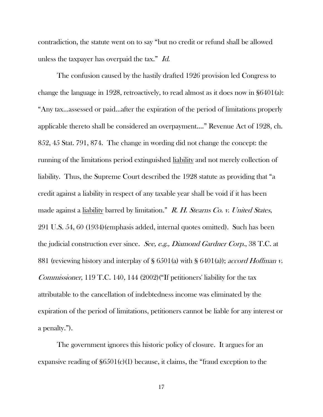contradiction, the statute went on to say "but no credit or refund shall be allowed unless the taxpayer has overpaid the tax." Id.

The confusion caused by the hastily drafted 1926 provision led Congress to change the language in 1928, retroactively, to read almost as it does now in §6401(a): "Any tax...assessed or paid...after the expiration of the period of limitations properly applicable thereto shall be considered an overpayment...." Revenue Act of 1928, ch. 852, 45 Stat. 791, 874. The change in wording did not change the concept: the running of the limitations period extinguished liability and not merely collection of liability. Thus, the Supreme Court described the 1928 statute as providing that "a credit against a liability in respect of any taxable year shall be void if it has been made against a liability barred by limitation." R. H. Stearns Co. v. United States, 291 U.S. 54, 60 (1934)(emphasis added, internal quotes omitted). Such has been the judicial construction ever since. See, e.g., Diamond Gardner Corp., 38 T.C. at 881 (reviewing history and interplay of § 6501(a) with § 6401(a)); *accord Hoffman v.* Commissioner, 119 T.C. 140, 144 (2002)("If petitioners' liability for the tax attributable to the cancellation of indebtedness income was eliminated by the expiration of the period of limitations, petitioners cannot be liable for any interest or a penalty.").

The government ignores this historic policy of closure. It argues for an expansive reading of  $\S6501(c)(1)$  because, it claims, the "fraud exception to the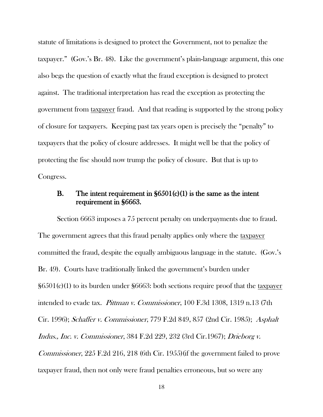statute of limitations is designed to protect the Government, not to penalize the taxpayer." (Gov.'s Br. 48). Like the government's plain-language argument, this one also begs the question of exactly what the fraud exception is designed to protect against. The traditional interpretation has read the exception as protecting the government from taxpayer fraud. And that reading is supported by the strong policy of closure for taxpayers. Keeping past tax years open is precisely the "penalty" to taxpayers that the policy of closure addresses. It might well be that the policy of protecting the fisc should now trump the policy of closure. But that is up to Congress.

### B. The intent requirement in  $$6501(c)(1)$  is the same as the intent requirement in §6663.

Section 6663 imposes a 75 percent penalty on underpayments due to fraud. The government agrees that this fraud penalty applies only where the taxpayer committed the fraud, despite the equally ambiguous language in the statute. (Gov.'s Br. 49). Courts have traditionally linked the government's burden under §6501(c)(1) to its burden under §6663: both sections require proof that the taxpayer intended to evade tax. Pittman v. Commissioner, 100 F.3d 1308, 1319 n.13 (7th Cir. 1996); Schaffer v. Commissioner, 779 F.2d 849, 857 (2nd Cir. 1985); Asphalt Indus., Inc. v. Commissioner, 384 F.2d 229, 232 (3rd Cir.1967); Drieborg v. Commissioner, 225 F.2d 216, 218 (6th Cir. 1955)(if the government failed to prove taxpayer fraud, then not only were fraud penalties erroneous, but so were any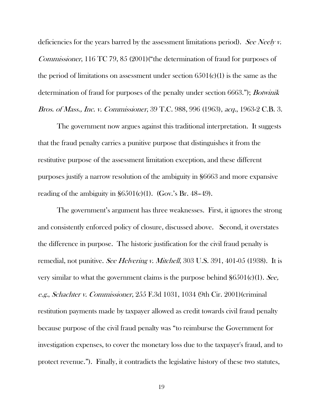deficiencies for the years barred by the assessment limitations period). See Neely v. Commissioner, 116 TC 79, 85 (2001)("the determination of fraud for purposes of the period of limitations on assessment under section  $6501(c)(1)$  is the same as the determination of fraud for purposes of the penalty under section 6663."); *Botwinik* Bros. of Mass., Inc. v. Commissioner, 39 T.C. 988, 996 (1963), acq., 1963-2 C.B. 3.

The government now argues against this traditional interpretation. It suggests that the fraud penalty carries a punitive purpose that distinguishes it from the restitutive purpose of the assessment limitation exception, and these different purposes justify a narrow resolution of the ambiguity in §6663 and more expansive reading of the ambiguity in  $\S6501(c)(1)$ . (Gov.'s Br. 48–49).

The government's argument has three weaknesses. First, it ignores the strong and consistently enforced policy of closure, discussed above. Second, it overstates the difference in purpose. The historic justification for the civil fraud penalty is remedial, not punitive. See Helvering v. Mitchell, 303 U.S. 391, 401-05 (1938). It is very similar to what the government claims is the purpose behind  $\S6501(c)(1)$ . See, e.g., Schachter v. Commissioner, 255 F.3d 1031, 1034 (9th Cir. 2001)(criminal restitution payments made by taxpayer allowed as credit towards civil fraud penalty because purpose of the civil fraud penalty was "to reimburse the Government for investigation expenses, to cover the monetary loss due to the taxpayer's fraud, and to protect revenue."). Finally, it contradicts the legislative history of these two statutes,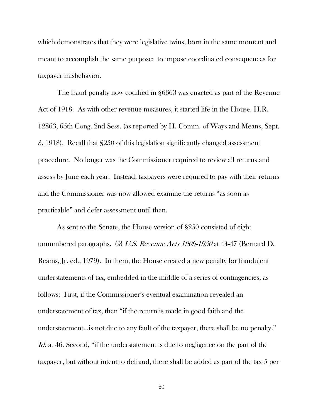which demonstrates that they were legislative twins, born in the same moment and meant to accomplish the same purpose: to impose coordinated consequences for taxpayer misbehavior.

The fraud penalty now codified in §6663 was enacted as part of the Revenue Act of 1918. As with other revenue measures, it started life in the House. H.R. 12863, 65th Cong. 2nd Sess. (as reported by H. Comm. of Ways and Means, Sept. 3, 1918). Recall that §250 of this legislation significantly changed assessment procedure. No longer was the Commissioner required to review all returns and assess by June each year. Instead, taxpayers were required to pay with their returns and the Commissioner was now allowed examine the returns "as soon as practicable" and defer assessment until then.

As sent to the Senate, the House version of §250 consisted of eight unnumbered paragraphs. 63 U.S. Revenue Acts 1909-1950 at 44-47 (Bernard D. Reams, Jr. ed., 1979). In them, the House created a new penalty for fraudulent understatements of tax, embedded in the middle of a series of contingencies, as follows: First, if the Commissioner's eventual examination revealed an understatement of tax, then "if the return is made in good faith and the understatement...is not due to any fault of the taxpayer, there shall be no penalty." Id. at 46. Second, "if the understatement is due to negligence on the part of the taxpayer, but without intent to defraud, there shall be added as part of the tax 5 per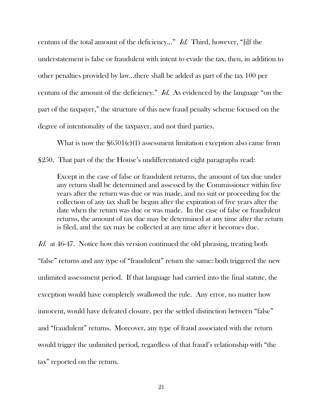centum of the total amount of the deficiency..." Id. Third, however, "[i]f the understatement is false or fraudulent with intent to evade the tax, then, in addition to other penalties provided by law...there shall be added as part of the tax 100 per centum of the amount of the deficiency." Id. As evidenced by the language "on the part of the taxpayer," the structure of this new fraud penalty scheme focused on the degree of intentionality of the taxpayer, and not third parties.

What is now the  $$6501(c)(1)$  assessment limitation exception also came from §250. That part of the the House's undifferentiated eight paragraphs read:

Except in the case of false or fraudulent returns, the amount of tax due under any return shall be determined and assessed by the Commissioner within five years after the return was due or was made, and no suit or proceeding for the collection of any tax shall be begun after the expiration of five years after the date when the return was due or was made. In the case of false or fraudulent returns, the amount of tax due may be determined at any time after the return is filed, and the tax may be collected at any time after it becomes due.

Id. at 46-47. Notice how this version continued the old phrasing, treating both "false" returns and any type of "fraudulent" return the same: both triggered the new unlimited assessment period. If that language had carried into the final statute, the exception would have completely swallowed the rule. Any error, no matter how innocent, would have defeated closure, per the settled distinction between "false" and "fraudulent" returns. Moreover, any type of fraud associated with the return would trigger the unlimited period, regardless of that fraud's relationship with "the tax" reported on the return.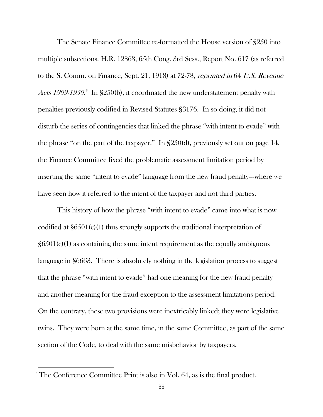The Senate Finance Committee re-formatted the House version of §250 into multiple subsections. H.R. 12863, 65th Cong. 3rd Sess., Report No. 617 (as referred to the S. Comm. on Finance, Sept. 21, 1918) at 72-78, reprinted in 64 U.S. Revenue Acts 1909-1950.<sup>3</sup> In §250(b), it coordinated the new understatement penalty with penalties previously codified in Revised Statutes §3176. In so doing, it did not disturb the series of contingencies that linked the phrase "with intent to evade" with the phrase "on the part of the taxpayer." In §250(d), previously set out on page 14, the Finance Committee fixed the problematic assessment limitation period by inserting the same "intent to evade" language from the new fraud penalty---where we have seen how it referred to the intent of the taxpayer and not third parties.

This history of how the phrase "with intent to evade" came into what is now codified at §6501(c)(1) thus strongly supports the traditional interpretation of  $\frac{\delta 501(c)}{1}$  as containing the same intent requirement as the equally ambiguous language in §6663. There is absolutely nothing in the legislation process to suggest that the phrase "with intent to evade" had one meaning for the new fraud penalty and another meaning for the fraud exception to the assessment limitations period. On the contrary, these two provisions were inextricably linked; they were legislative twins. They were born at the same time, in the same Committee, as part of the same section of the Code, to deal with the same misbehavior by taxpayers.

 $\overline{a}$ 

<sup>&</sup>lt;sup>3</sup> The Conference Committee Print is also in Vol. 64, as is the final product.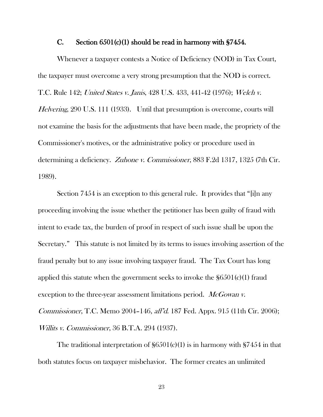#### C. Section  $6501(c)(1)$  should be read in harmony with §7454.

Whenever a taxpayer contests a Notice of Deficiency (NOD) in Tax Court, the taxpayer must overcome a very strong presumption that the NOD is correct. T.C. Rule 142; United States v. Janis, 428 U.S. 433, 441-42 (1976); Welch v. Helvering, 290 U.S. 111 (1933). Until that presumption is overcome, courts will not examine the basis for the adjustments that have been made, the propriety of the Commissioner's motives, or the administrative policy or procedure used in determining a deficiency. Zuhone v. Commissioner, 883 F.2d 1317, 1325 (7th Cir. 1989).

Section 7454 is an exception to this general rule. It provides that "[i]n any proceeding involving the issue whether the petitioner has been guilty of fraud with intent to evade tax, the burden of proof in respect of such issue shall be upon the Secretary." This statute is not limited by its terms to issues involving assertion of the fraud penalty but to any issue involving taxpayer fraud. The Tax Court has long applied this statute when the government seeks to invoke the  $\S6501(c)(1)$  fraud exception to the three-year assessment limitations period. McGowan v. Commissioner, T.C. Memo 2004–146, aff'd. 187 Fed. Appx. 915 (11th Cir. 2006); Willits v. Commissioner, 36 B.T.A. 294 (1937).

The traditional interpretation of  $\S6501(c)(1)$  is in harmony with  $\S7454$  in that both statutes focus on taxpayer misbehavior. The former creates an unlimited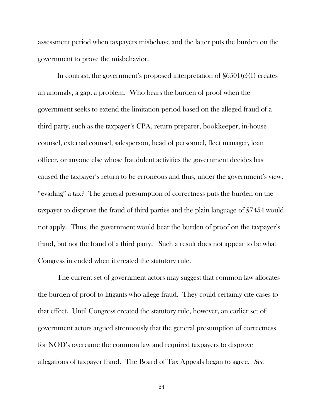assessment period when taxpayers misbehave and the latter puts the burden on the government to prove the misbehavior.

In contrast, the government's proposed interpretation of  $\S6501(c)(1)$  creates an anomaly, a gap, a problem. Who bears the burden of proof when the government seeks to extend the limitation period based on the alleged fraud of a third party, such as the taxpayer's CPA, return preparer, bookkeeper, in-house counsel, external counsel, salesperson, head of personnel, fleet manager, loan officer, or anyone else whose fraudulent activities the government decides has caused the taxpayer's return to be erroneous and thus, under the government's view, "evading" a tax? The general presumption of correctness puts the burden on the taxpayer to disprove the fraud of third parties and the plain language of §7454 would not apply. Thus, the government would bear the burden of proof on the taxpayer's fraud, but not the fraud of a third party. Such a result does not appear to be what Congress intended when it created the statutory rule.

The current set of government actors may suggest that common law allocates the burden of proof to litigants who allege fraud. They could certainly cite cases to that effect. Until Congress created the statutory rule, however, an earlier set of government actors argued strenuously that the general presumption of correctness for NOD's overcame the common law and required taxpayers to disprove allegations of taxpayer fraud. The Board of Tax Appeals began to agree. See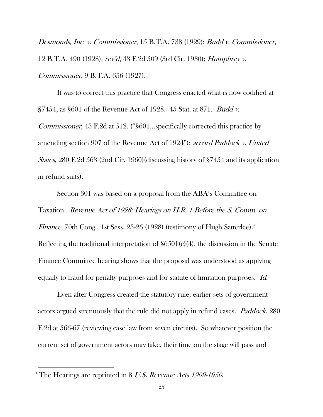Desmonds, Inc. v. Commissioner, 15 B.T.A. 738 (1929); Budd v. Commissioner, 12 B.T.A. 490 (1928), rev'd, 43 F.2d 509 (3rd Cir. 1930); Humphrey v. Commissioner, 9 B.T.A. 656 (1927).

It was to correct this practice that Congress enacted what is now codified at §7454, as §601 of the Revenue Act of 1928. 45 Stat. at 871. Budd v. Commissioner, 43 F.2d at 512. ("§601...specifically corrected this practice by amending section 907 of the Revenue Act of 1924"); accord Paddock v. United States, 280 F.2d 563 (2nd Cir. 1960)(discussing history of §7454 and its application in refund suits).

Section 601 was based on a proposal from the ABA's Committee on Taxation. Revenue Act of 1928: Hearings on H.R. 1 Before the S. Comm. on *Finance*, 70th Cong., 1st Sess. 23-26 (1928) (testimony of Hugh Satterlee). $^4$ Reflecting the traditional interpretation of  $\S6501(c)(4)$ , the discussion in the Senate Finance Committee hearing shows that the proposal was understood as applying equally to fraud for penalty purposes and for statute of limitation purposes. Id.

Even after Congress created the statutory rule, earlier sets of government actors argued strenuously that the rule did not apply in refund cases. *Paddock*, 280 F.2d at 566-67 (reviewing case law from seven circuits). So whatever position the current set of government actors may take, their time on the stage will pass and

 $\overline{a}$ 

<sup>&</sup>lt;sup>4</sup> The Hearings are reprinted in 8 U.S. Revenue Acts 1909-1950.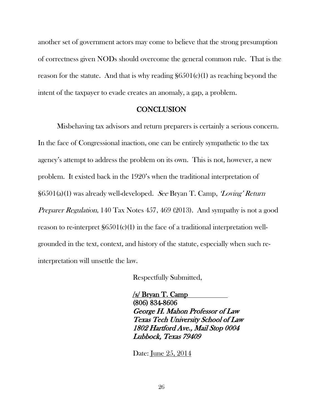another set of government actors may come to believe that the strong presumption of correctness given NODs should overcome the general common rule. That is the reason for the statute. And that is why reading  $\S6501(c)(1)$  as reaching beyond the intent of the taxpayer to evade creates an anomaly, a gap, a problem.

#### **CONCLUSION**

Misbehaving tax advisors and return preparers is certainly a serious concern. In the face of Congressional inaction, one can be entirely sympathetic to the tax agency's attempt to address the problem on its own. This is not, however, a new problem. It existed back in the 1920's when the traditional interpretation of  $\S6501(a)(1)$  was already well-developed. See Bryan T. Camp, 'Loving' Return Preparer Regulation, 140 Tax Notes 457, 469 (2013). And sympathy is not a good reason to re-interpret §6501(c)(1) in the face of a traditional interpretation wellgrounded in the text, context, and history of the statute, especially when such reinterpretation will unsettle the law.

Respectfully Submitted,

/s/ Bryan T. Camp (806) 834-8606 George H. Mahon Professor of Law Texas Tech University School of Law 1802 Hartford Ave., Mail Stop 0004 Lubbock, Texas 79409

Date: June 25, 2014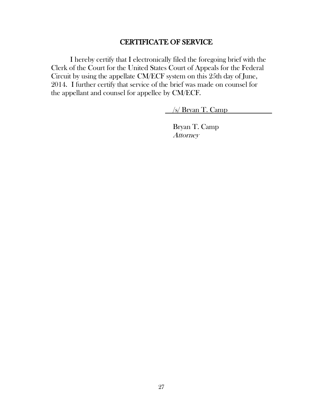### CERTIFICATE OF SERVICE

I hereby certify that I electronically filed the foregoing brief with the Clerk of the Court for the United States Court of Appeals for the Federal Circuit by using the appellate CM/ECF system on this 25th day of June, 2014. I further certify that service of the brief was made on counsel for the appellant and counsel for appellee by CM/ECF.

/s/ Bryan T. Camp

Bryan T. Camp **Attorney**